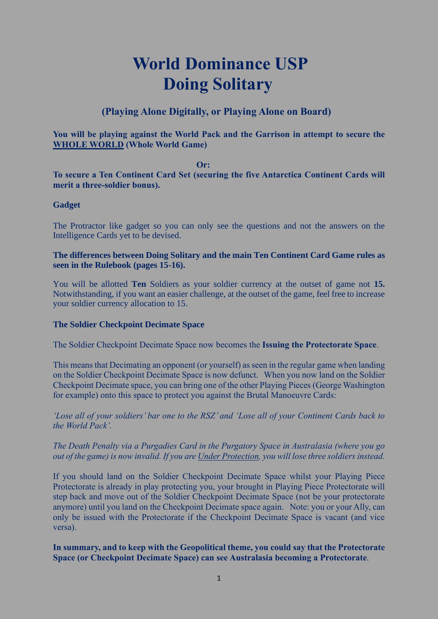# **World Dominance USP Doing Solitary**

## **(Playing Alone Digitally, or Playing Alone on Board)**

#### **You will be playing against the World Pack and the Garrison in attempt to secure the WHOLE WORLD (Whole World Game)**

#### *Or:* **Or:**

#### **To secure a Ten Continent Card Set (securing the five Antarctica Continent Cards will merit a three-soldier bonus).**

#### **Gadget**

The Protractor like gadget so you can only see the questions and not the answers on the Intelligence Cards yet to be devised.

#### **The differences between Doing Solitary and the main Ten Continent Card Game rules as seen in the Rulebook (pages 15-16).**

You will be allotted **Ten** Soldiers as your soldier currency at the outset of game not **15.**  Notwithstanding, if you want an easier challenge, at the outset of the game, feel free to increase your soldier currency allocation to 15.

#### **The Soldier Checkpoint Decimate Space**

The Soldier Checkpoint Decimate Space now becomes the **Issuing the Protectorate Space**.

This meansthat Decimating an opponent (or yourself) as seen in the regular game when landing on the Soldier Checkpoint Decimate Space is now defunct. When you now land on the Soldier Checkpoint Decimate space, you can bring one of the other Playing Pieces (George Washington for example) onto this space to protect you against the Brutal Manoeuvre Cards:

*'Lose all of your soldiers' bar one to the RSZ' and 'Lose all of your Continent Cards back to the World Pack'.*

#### *The Death Penalty via a Purgadies Card in the Purgatory Space in Australasia (where you go out of the game) is now invalid. If you are Under Protection, you will lose three soldiers instead.*

If you should land on the Soldier Checkpoint Decimate Space whilst your Playing Piece Protectorate is already in play protecting you, your brought in Playing Piece Protectorate will step back and move out of the Soldier Checkpoint Decimate Space (not be your protectorate anymore) until you land on the Checkpoint Decimate space again. Note: you or your Ally, can only be issued with the Protectorate if the Checkpoint Decimate Space is vacant (and vice versa).

#### **In summary, and to keep with the Geopolitical theme, you could say that the Protectorate Space (or Checkpoint Decimate Space) can see Australasia becoming a Protectorate**.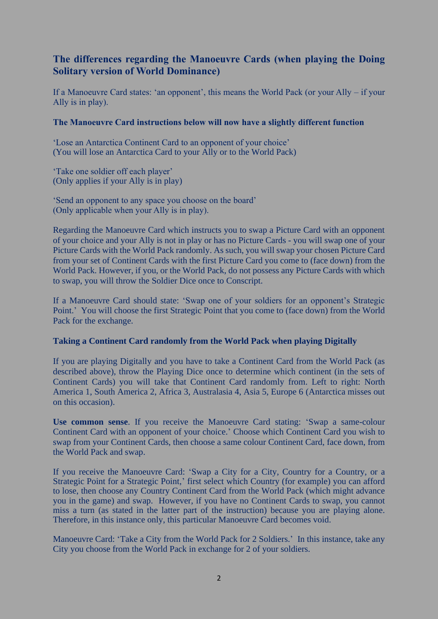## **The differences regarding the Manoeuvre Cards (when playing the Doing Solitary version of World Dominance)**

If a Manoeuvre Card states: 'an opponent', this means the World Pack (or your Ally – if your Ally is in play).

#### **The Manoeuvre Card instructions below will now have a slightly different function**

'Lose an Antarctica Continent Card to an opponent of your choice' (You will lose an Antarctica Card to your Ally or to the World Pack)

'Take one soldier off each player' (Only applies if your Ally is in play)

'Send an opponent to any space you choose on the board' (Only applicable when your Ally is in play).

Regarding the Manoeuvre Card which instructs you to swap a Picture Card with an opponent of your choice and your Ally is not in play or has no Picture Cards - you will swap one of your Picture Cards with the World Pack randomly. As such, you will swap your chosen Picture Card from your set of Continent Cards with the first Picture Card you come to (face down) from the World Pack. However, if you, or the World Pack, do not possess any Picture Cards with which to swap, you will throw the Soldier Dice once to Conscript.

If a Manoeuvre Card should state: 'Swap one of your soldiers for an opponent's Strategic Point.' You will choose the first Strategic Point that you come to (face down) from the World Pack for the exchange.

#### **Taking a Continent Card randomly from the World Pack when playing Digitally**

If you are playing Digitally and you have to take a Continent Card from the World Pack (as described above), throw the Playing Dice once to determine which continent (in the sets of Continent Cards) you will take that Continent Card randomly from. Left to right: North America 1, South America 2, Africa 3, Australasia 4, Asia 5, Europe 6 (Antarctica misses out on this occasion).

**Use common sense**. If you receive the Manoeuvre Card stating: 'Swap a same-colour Continent Card with an opponent of your choice.' Choose which Continent Card you wish to swap from your Continent Cards, then choose a same colour Continent Card, face down, from the World Pack and swap.

If you receive the Manoeuvre Card: 'Swap a City for a City, Country for a Country, or a Strategic Point for a Strategic Point,' first select which Country (for example) you can afford to lose, then choose any Country Continent Card from the World Pack (which might advance you in the game) and swap. However, if you have no Continent Cards to swap, you cannot miss a turn (as stated in the latter part of the instruction) because you are playing alone. Therefore, in this instance only, this particular Manoeuvre Card becomes void.

Manoeuvre Card: 'Take a City from the World Pack for 2 Soldiers.' In this instance, take any City you choose from the World Pack in exchange for 2 of your soldiers.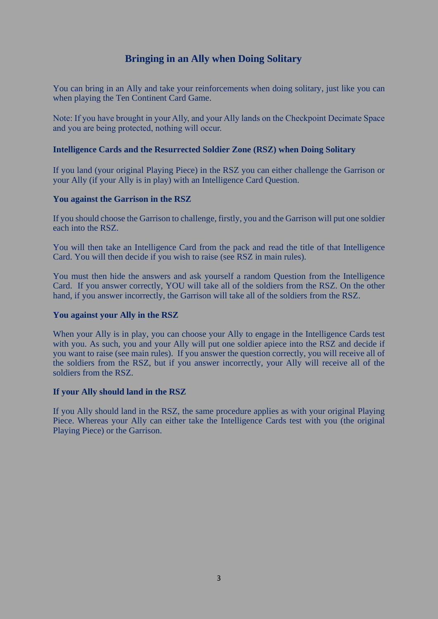## **Bringing in an Ally when Doing Solitary**

You can bring in an Ally and take your reinforcements when doing solitary, just like you can when playing the Ten Continent Card Game.

Note: If you have brought in your Ally, and your Ally lands on the Checkpoint Decimate Space and you are being protected, nothing will occur.

#### **Intelligence Cards and the Resurrected Soldier Zone (RSZ) when Doing Solitary**

If you land (your original Playing Piece) in the RSZ you can either challenge the Garrison or your Ally (if your Ally is in play) with an Intelligence Card Question.

#### **You against the Garrison in the RSZ**

If you should choose the Garrison to challenge, firstly, you and the Garrison will put one soldier each into the RSZ.

You will then take an Intelligence Card from the pack and read the title of that Intelligence Card. You will then decide if you wish to raise (see RSZ in main rules).

You must then hide the answers and ask yourself a random Question from the Intelligence Card. If you answer correctly, YOU will take all of the soldiers from the RSZ. On the other hand, if you answer incorrectly, the Garrison will take all of the soldiers from the RSZ.

#### **You against your Ally in the RSZ**

When your Ally is in play, you can choose your Ally to engage in the Intelligence Cards test with you. As such, you and your Ally will put one soldier apiece into the RSZ and decide if you want to raise (see main rules). If you answer the question correctly, you will receive all of the soldiers from the RSZ, but if you answer incorrectly, your Ally will receive all of the soldiers from the RSZ.

#### **If your Ally should land in the RSZ**

If you Ally should land in the RSZ, the same procedure applies as with your original Playing Piece. Whereas your Ally can either take the Intelligence Cards test with you (the original Playing Piece) or the Garrison.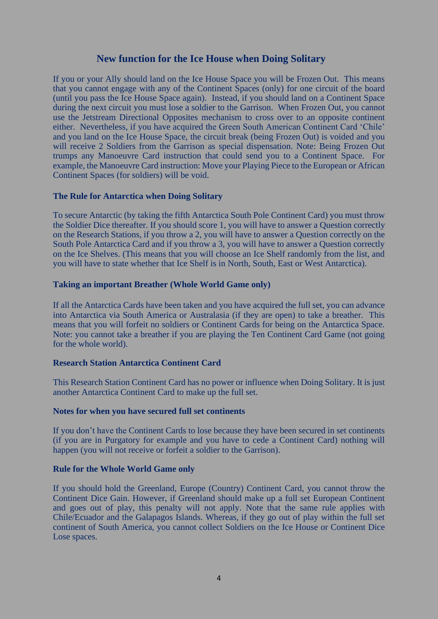### **New function for the Ice House when Doing Solitary**

If you or your Ally should land on the Ice House Space you will be Frozen Out. This means that you cannot engage with any of the Continent Spaces (only) for one circuit of the board (until you pass the Ice House Space again). Instead, if you should land on a Continent Space during the next circuit you must lose a soldier to the Garrison. When Frozen Out, you cannot use the Jetstream Directional Opposites mechanism to cross over to an opposite continent either. Nevertheless, if you have acquired the Green South American Continent Card 'Chile' and you land on the Ice House Space, the circuit break (being Frozen Out) is voided and you will receive 2 Soldiers from the Garrison as special dispensation. Note: Being Frozen Out trumps any Manoeuvre Card instruction that could send you to a Continent Space. For example, the Manoeuvre Card instruction: Move your Playing Piece to the European or African Continent Spaces (for soldiers) will be void.

#### **The Rule for Antarctica when Doing Solitary**

To secure Antarctic (by taking the fifth Antarctica South Pole Continent Card) you must throw the Soldier Dice thereafter. If you should score 1, you will have to answer a Question correctly on the Research Stations, if you throw a 2, you will have to answer a Question correctly on the South Pole Antarctica Card and if you throw a 3, you will have to answer a Question correctly on the Ice Shelves. (This means that you will choose an Ice Shelf randomly from the list, and you will have to state whether that Ice Shelf is in North, South, East or West Antarctica).

#### **Taking an important Breather (Whole World Game only)**

If all the Antarctica Cards have been taken and you have acquired the full set, you can advance into Antarctica via South America or Australasia (if they are open) to take a breather. This means that you will forfeit no soldiers or Continent Cards for being on the Antarctica Space. Note: you cannot take a breather if you are playing the Ten Continent Card Game (not going for the whole world).

#### **Research Station Antarctica Continent Card**

This Research Station Continent Card has no power or influence when Doing Solitary. It is just another Antarctica Continent Card to make up the full set.

#### **Notes for when you have secured full set continents**

If you don't have the Continent Cards to lose because they have been secured in set continents (if you are in Purgatory for example and you have to cede a Continent Card) nothing will happen (you will not receive or forfeit a soldier to the Garrison).

#### **Rule for the Whole World Game only**

If you should hold the Greenland, Europe (Country) Continent Card, you cannot throw the Continent Dice Gain. However, if Greenland should make up a full set European Continent and goes out of play, this penalty will not apply. Note that the same rule applies with Chile/Ecuador and the Galapagos Islands. Whereas, if they go out of play within the full set continent of South America, you cannot collect Soldiers on the Ice House or Continent Dice Lose spaces.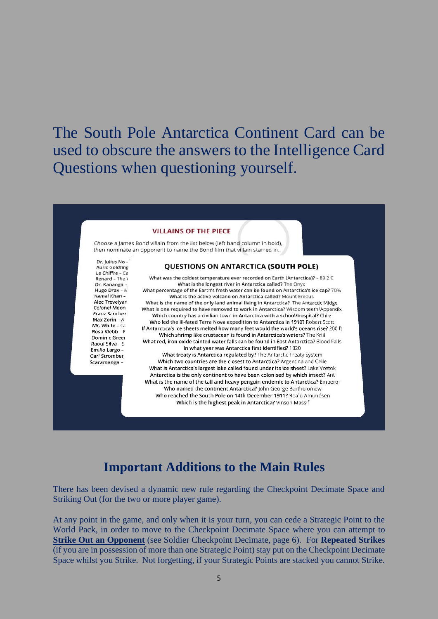# The South Pole Antarctica Continent Card can be used to obscure the answers to the Intelligence Card Questions when questioning yourself.

#### **VILLAINS OF THE PIECE**

Choose a James Bond villain from the list below (left hand column in bold), then nominate an opponent to name the Bond film that villain starred in.

Dr. Julius No -**Auric Goldfing** Le Chiffre - Ca Renard - The \ Dr. Kananga Hugo Drax - N Kamal Khan-Alec Trevelyar Colonel Moon Franz Sanchez Max Zorin - A Mr. White -  $C\bar{c}$ Rosa Klebb - F **Dominic Green** Raoul Silva - S Emilio Largo -**Carl Stromber** Scaramanga -

#### QUESTIONS ON ANTARCTICA (SOUTH POLE)

What was the coldest temperature ever recorded on Earth (Antarctica)? - 89.2 C What is the longest river in Antarctica called? The Onyx What percentage of the Earth's fresh water can be found on Antarctica's ice cap? 70% What is the active volcano on Antarctica called? Mount Erebus What is the name of the only land animal living in Antarctica? The Antarctic Midge What is one required to have removed to work in Antarctica? Wisdom teeth/Appendix Which country has a civilian town in Antarctica with a school/hospital? Chile Who led the ill-fated Terra Nova expedition to Antarctica in 1910? Robert Scott If Antarctica's ice sheets melted how many feet would the world's oceans rise? 200 ft Which shrimp like crustacean is found in Antarctica's waters? The Krill What red, iron oxide tainted water falls can be found in East Antarctica? Blood Falls In what year was Antarctica first identified? 1820 What treaty is Antarctica regulated by? The Antarctic Treaty System Which two countries are the closest to Antarctica? Argentina and Chile What is Antarctica's largest lake called found under its ice sheet? Lake Vostok Antarctica is the only continent to have been colonised by which insect? Ant What is the name of the tall and heavy penguin endemic to Antarctica? Emperor Who named the continent Antarctica? John George Bartholomew Who reached the South Pole on 14th December 1911? Roald Amundsen Which is the highest peak in Antarctica? Vinson Massif

## **Important Additions to the Main Rules**

There has been devised a dynamic new rule regarding the Checkpoint Decimate Space and Striking Out (for the two or more player game).

At any point in the game, and only when it is your turn, you can cede a Strategic Point to the World Pack, in order to move to the Checkpoint Decimate Space where you can attempt to **Strike Out an Opponent** (see Soldier Checkpoint Decimate, page 6). For **Repeated Strikes** (if you are in possession of more than one Strategic Point) stay put on the Checkpoint Decimate Space whilst you Strike. Not forgetting, if your Strategic Points are stacked you cannot Strike.